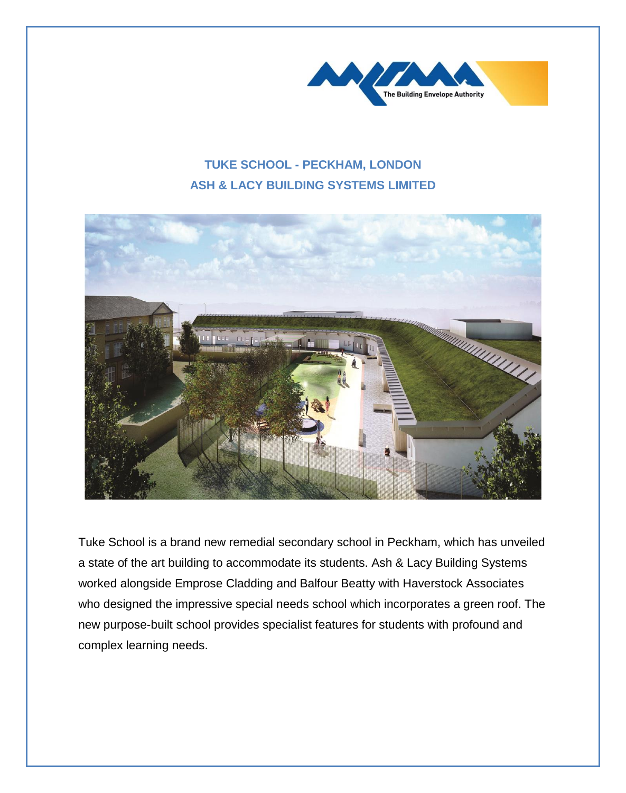

## **TUKE SCHOOL - PECKHAM, LONDON ASH & LACY BUILDING SYSTEMS LIMITED**



Tuke School is a brand new remedial secondary school in Peckham, which has unveiled a state of the art building to accommodate its students. Ash & Lacy Building Systems worked alongside Emprose Cladding and Balfour Beatty with Haverstock Associates who designed the impressive special needs school which incorporates a green roof. The new purpose-built school provides specialist features for students with profound and complex learning needs.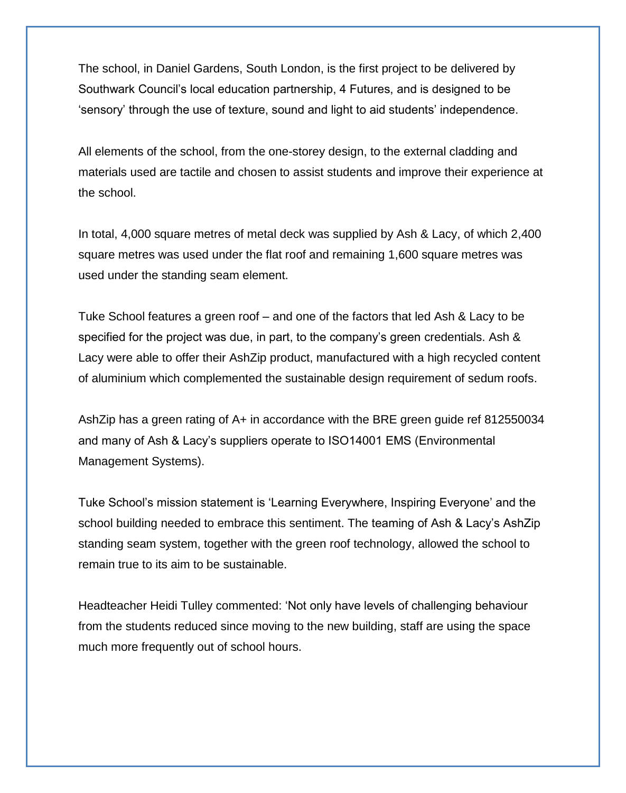The school, in Daniel Gardens, South London, is the first project to be delivered by Southwark Council's local education partnership, 4 Futures, and is designed to be 'sensory' through the use of texture, sound and light to aid students' independence.

All elements of the school, from the one-storey design, to the external cladding and materials used are tactile and chosen to assist students and improve their experience at the school.

In total, 4,000 square metres of metal deck was supplied by Ash & Lacy, of which 2,400 square metres was used under the flat roof and remaining 1,600 square metres was used under the standing seam element.

Tuke School features a green roof – and one of the factors that led Ash & Lacy to be specified for the project was due, in part, to the company's green credentials. Ash & Lacy were able to offer their AshZip product, manufactured with a high recycled content of aluminium which complemented the sustainable design requirement of sedum roofs.

AshZip has a green rating of A+ in accordance with the BRE green guide ref 812550034 and many of Ash & Lacy's suppliers operate to ISO14001 EMS (Environmental Management Systems).

Tuke School's mission statement is 'Learning Everywhere, Inspiring Everyone' and the school building needed to embrace this sentiment. The teaming of Ash & Lacy's AshZip standing seam system, together with the green roof technology, allowed the school to remain true to its aim to be sustainable.

Headteacher Heidi Tulley commented: 'Not only have levels of challenging behaviour from the students reduced since moving to the new building, staff are using the space much more frequently out of school hours.